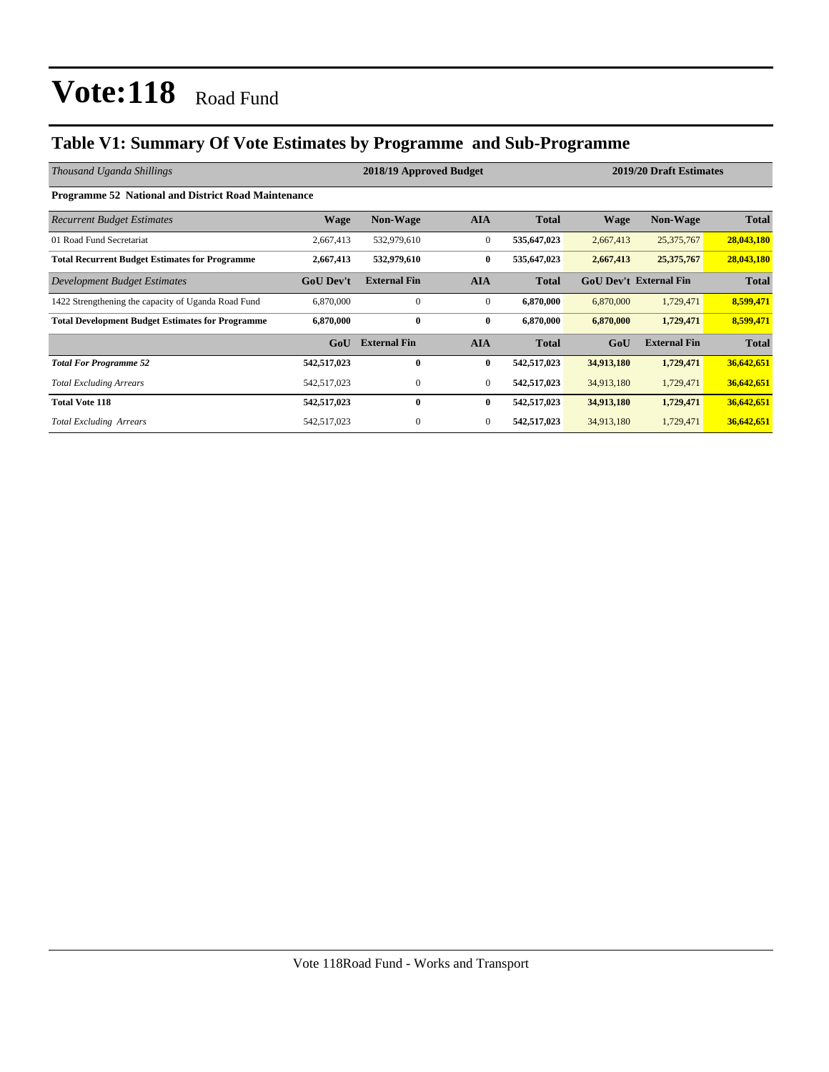### **Table V1: Summary Of Vote Estimates by Programme and Sub-Programme**

| Thousand Uganda Shillings                                  |                  | 2018/19 Approved Budget | 2019/20 Draft Estimates |              |             |                               |              |
|------------------------------------------------------------|------------------|-------------------------|-------------------------|--------------|-------------|-------------------------------|--------------|
| <b>Programme 52 National and District Road Maintenance</b> |                  |                         |                         |              |             |                               |              |
| <b>Recurrent Budget Estimates</b>                          | <b>Wage</b>      | <b>Non-Wage</b>         | <b>AIA</b>              | <b>Total</b> | <b>Wage</b> | <b>Non-Wage</b>               | <b>Total</b> |
| 01 Road Fund Secretariat                                   | 2,667,413        | 532,979,610             | $\overline{0}$          | 535,647,023  | 2,667,413   | 25,375,767                    | 28,043,180   |
| <b>Total Recurrent Budget Estimates for Programme</b>      | 2,667,413        | 532,979,610             | $\bf{0}$                | 535,647,023  | 2,667,413   | 25,375,767                    | 28,043,180   |
| Development Budget Estimates                               | <b>GoU Dev't</b> | <b>External Fin</b>     | <b>AIA</b>              | <b>Total</b> |             | <b>GoU Dev't External Fin</b> | <b>Total</b> |
| 1422 Strengthening the capacity of Uganda Road Fund        | 6,870,000        | 0                       | $\mathbf{0}$            | 6,870,000    | 6,870,000   | 1,729,471                     | 8,599,471    |
| <b>Total Development Budget Estimates for Programme</b>    | 6,870,000        | $\mathbf{0}$            | $\bf{0}$                | 6,870,000    | 6,870,000   | 1,729,471                     | 8,599,471    |
|                                                            | GoU              | <b>External Fin</b>     | <b>AIA</b>              | <b>Total</b> | GoU         | <b>External Fin</b>           | <b>Total</b> |
| <b>Total For Programme 52</b>                              | 542,517,023      | $\mathbf{0}$            | $\bf{0}$                | 542,517,023  | 34,913,180  | 1,729,471                     | 36,642,651   |
| <b>Total Excluding Arrears</b>                             | 542,517,023      | 0                       | $\overline{0}$          | 542,517,023  | 34,913,180  | 1,729,471                     | 36,642,651   |
| <b>Total Vote 118</b>                                      | 542,517,023      | $\mathbf{0}$            | $\bf{0}$                | 542,517,023  | 34,913,180  | 1,729,471                     | 36,642,651   |
| <b>Total Excluding Arrears</b>                             | 542,517,023      | 0                       | $\theta$                | 542,517,023  | 34,913,180  | 1,729,471                     | 36,642,651   |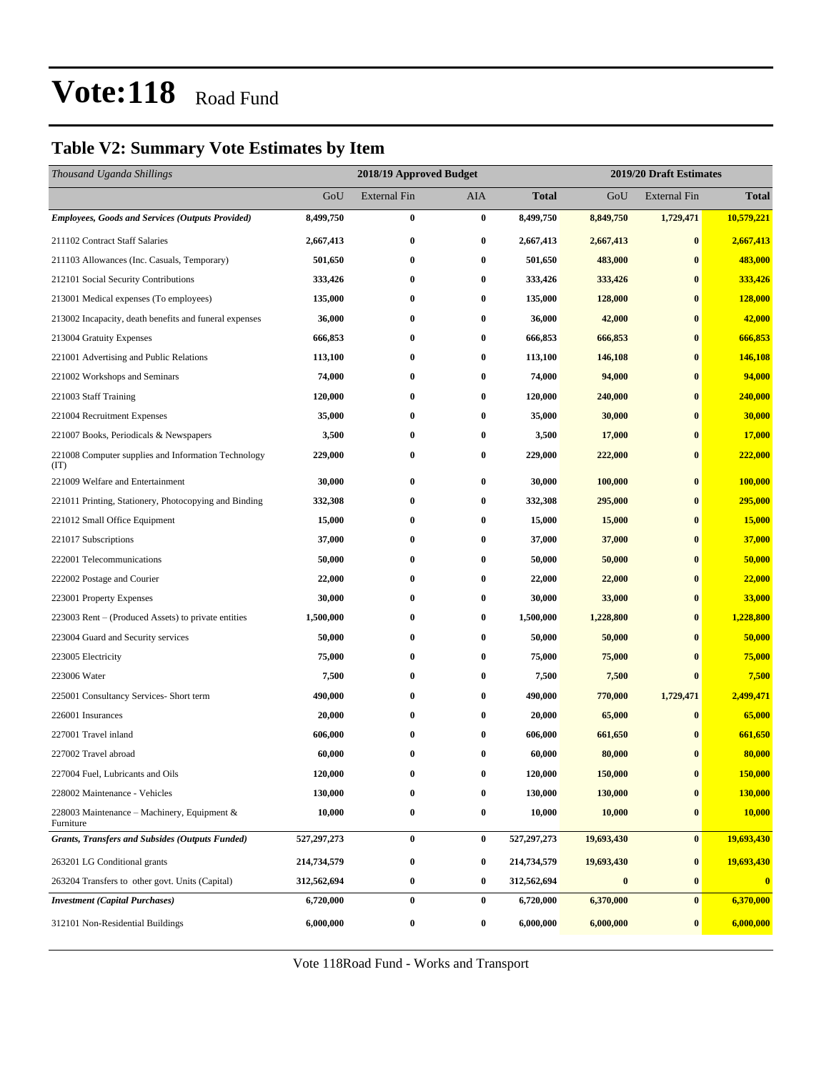### **Table V2: Summary Vote Estimates by Item**

| Thousand Uganda Shillings                                   |             | 2018/19 Approved Budget |          | 2019/20 Draft Estimates |            |                     |              |
|-------------------------------------------------------------|-------------|-------------------------|----------|-------------------------|------------|---------------------|--------------|
|                                                             | GoU         | <b>External Fin</b>     | AIA      | <b>Total</b>            | GoU        | <b>External Fin</b> | <b>Total</b> |
| <b>Employees, Goods and Services (Outputs Provided)</b>     | 8,499,750   | $\bf{0}$                | $\bf{0}$ | 8,499,750               | 8,849,750  | 1,729,471           | 10,579,221   |
| 211102 Contract Staff Salaries                              | 2,667,413   | $\bf{0}$                | $\bf{0}$ | 2,667,413               | 2,667,413  | $\bf{0}$            | 2,667,413    |
| 211103 Allowances (Inc. Casuals, Temporary)                 | 501,650     | $\bf{0}$                | $\bf{0}$ | 501,650                 | 483,000    | $\bf{0}$            | 483,000      |
| 212101 Social Security Contributions                        | 333,426     | $\bf{0}$                | $\bf{0}$ | 333,426                 | 333,426    | $\bf{0}$            | 333,426      |
| 213001 Medical expenses (To employees)                      | 135,000     | $\bf{0}$                | $\bf{0}$ | 135,000                 | 128,000    | $\bf{0}$            | 128,000      |
| 213002 Incapacity, death benefits and funeral expenses      | 36,000      | $\bf{0}$                | $\bf{0}$ | 36,000                  | 42,000     | $\bf{0}$            | 42,000       |
| 213004 Gratuity Expenses                                    | 666,853     | $\bf{0}$                | $\bf{0}$ | 666,853                 | 666,853    | $\bf{0}$            | 666,853      |
| 221001 Advertising and Public Relations                     | 113,100     | $\bf{0}$                | $\bf{0}$ | 113,100                 | 146,108    | $\bf{0}$            | 146,108      |
| 221002 Workshops and Seminars                               | 74,000      | $\bf{0}$                | $\bf{0}$ | 74,000                  | 94,000     | $\bf{0}$            | 94,000       |
| 221003 Staff Training                                       | 120,000     | $\bf{0}$                | $\bf{0}$ | 120,000                 | 240,000    | $\bf{0}$            | 240,000      |
| 221004 Recruitment Expenses                                 | 35,000      | $\bf{0}$                | $\bf{0}$ | 35,000                  | 30,000     | $\bf{0}$            | 30,000       |
| 221007 Books, Periodicals & Newspapers                      | 3,500       | $\bf{0}$                | $\bf{0}$ | 3,500                   | 17,000     | $\bf{0}$            | 17,000       |
| 221008 Computer supplies and Information Technology<br>(TT) | 229,000     | $\bf{0}$                | $\bf{0}$ | 229,000                 | 222,000    | $\bf{0}$            | 222,000      |
| 221009 Welfare and Entertainment                            | 30,000      | $\bf{0}$                | $\bf{0}$ | 30,000                  | 100,000    | $\bf{0}$            | 100,000      |
| 221011 Printing, Stationery, Photocopying and Binding       | 332,308     | $\bf{0}$                | $\bf{0}$ | 332,308                 | 295,000    | $\bf{0}$            | 295,000      |
| 221012 Small Office Equipment                               | 15,000      | $\bf{0}$                | $\bf{0}$ | 15,000                  | 15,000     | $\bf{0}$            | 15,000       |
| 221017 Subscriptions                                        | 37,000      | $\bf{0}$                | $\bf{0}$ | 37,000                  | 37,000     | $\bf{0}$            | 37,000       |
| 222001 Telecommunications                                   | 50,000      | $\bf{0}$                | $\bf{0}$ | 50,000                  | 50,000     | $\bf{0}$            | 50,000       |
| 222002 Postage and Courier                                  | 22,000      | $\bf{0}$                | $\bf{0}$ | 22,000                  | 22,000     | $\bf{0}$            | 22,000       |
| 223001 Property Expenses                                    | 30,000      | $\bf{0}$                | 0        | 30,000                  | 33,000     | $\bf{0}$            | 33,000       |
| 223003 Rent – (Produced Assets) to private entities         | 1,500,000   | $\bf{0}$                | $\bf{0}$ | 1,500,000               | 1,228,800  | $\bf{0}$            | 1,228,800    |
| 223004 Guard and Security services                          | 50,000      | $\bf{0}$                | $\bf{0}$ | 50,000                  | 50,000     | $\bf{0}$            | 50,000       |
| 223005 Electricity                                          | 75,000      | $\bf{0}$                | $\bf{0}$ | 75,000                  | 75,000     | $\bf{0}$            | 75,000       |
| 223006 Water                                                | 7,500       | $\bf{0}$                | 0        | 7,500                   | 7,500      | $\bf{0}$            | 7,500        |
| 225001 Consultancy Services- Short term                     | 490,000     | $\bf{0}$                | 0        | 490,000                 | 770,000    | 1,729,471           | 2,499,471    |
| 226001 Insurances                                           | 20,000      | $\bf{0}$                | $\bf{0}$ | 20,000                  | 65,000     | $\bf{0}$            | 65,000       |
| 227001 Travel inland                                        | 606,000     | $\bf{0}$                | $\bf{0}$ | 606,000                 | 661,650    | $\bf{0}$            | 661,650      |
| 227002 Travel abroad                                        | 60,000      | $\bf{0}$                | $\bf{0}$ | 60,000                  | 80,000     | $\bf{0}$            | 80,000       |
| 227004 Fuel, Lubricants and Oils                            | 120,000     | $\bf{0}$                | $\bf{0}$ | 120,000                 | 150,000    | $\bf{0}$            | 150,000      |
| 228002 Maintenance - Vehicles                               | 130,000     | $\bf{0}$                | $\bf{0}$ | 130,000                 | 130,000    | $\bf{0}$            | 130,000      |
| 228003 Maintenance – Machinery, Equipment $\&$<br>Furniture | 10,000      | $\bf{0}$                | $\bf{0}$ | 10,000                  | 10,000     | $\bf{0}$            | 10,000       |
| <b>Grants, Transfers and Subsides (Outputs Funded)</b>      | 527,297,273 | $\bf{0}$                | $\bf{0}$ | 527,297,273             | 19,693,430 | $\bf{0}$            | 19,693,430   |
| 263201 LG Conditional grants                                | 214,734,579 | $\bf{0}$                | $\bf{0}$ | 214,734,579             | 19,693,430 | $\bf{0}$            | 19,693,430   |
| 263204 Transfers to other govt. Units (Capital)             | 312,562,694 | $\bf{0}$                | $\bf{0}$ | 312,562,694             | $\bf{0}$   | $\bf{0}$            | $\bf{0}$     |
| <b>Investment (Capital Purchases)</b>                       | 6,720,000   | $\bf{0}$                | $\bf{0}$ | 6,720,000               | 6,370,000  | $\bf{0}$            | 6,370,000    |
| 312101 Non-Residential Buildings                            | 6,000,000   | $\pmb{0}$               | $\bf{0}$ | 6,000,000               | 6,000,000  | $\bf{0}$            | 6,000,000    |

Vote 118Road Fund - Works and Transport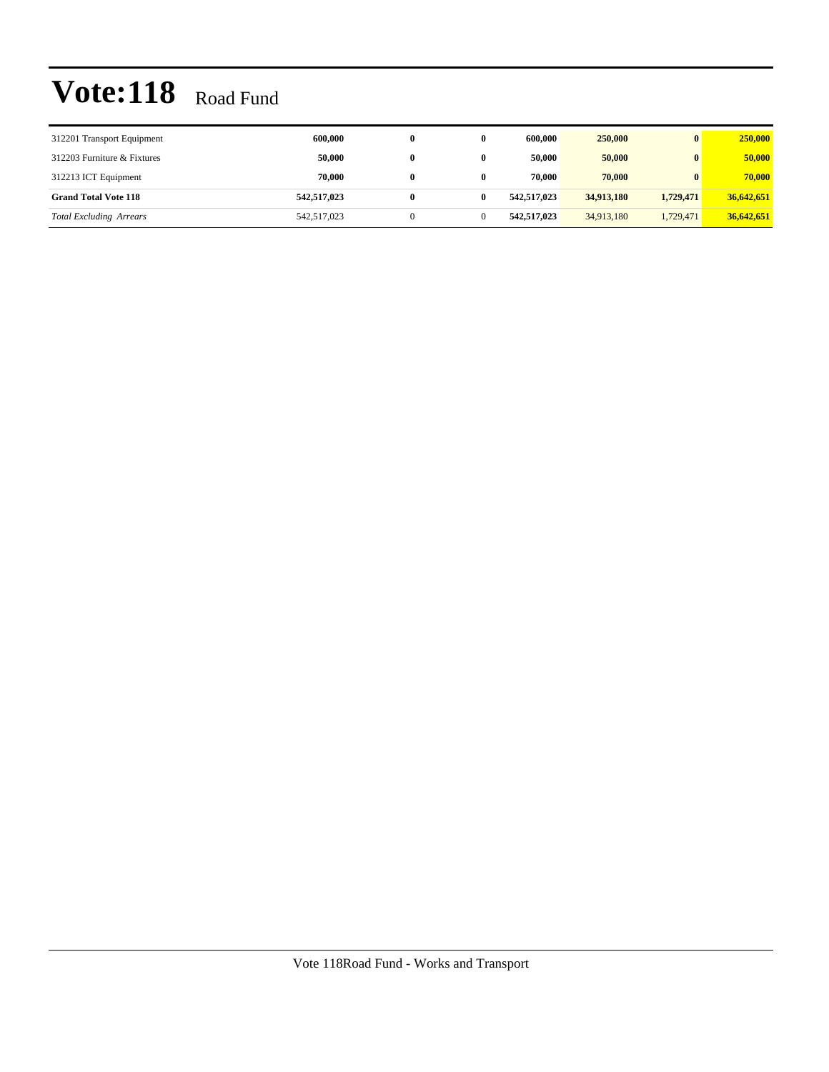| 312201 Transport Equipment     | 600,000     |   |   | 600,000     | 250,000    | $\mathbf{0}$ | 250,000    |
|--------------------------------|-------------|---|---|-------------|------------|--------------|------------|
| 312203 Furniture & Fixtures    | 50,000      |   |   | 50,000      | 50,000     | $\mathbf{0}$ | 50,000     |
| 312213 ICT Equipment           | 70.000      |   |   | 70.000      | 70,000     | $\mathbf{0}$ | 70,000     |
| <b>Grand Total Vote 118</b>    | 542,517,023 | 0 | 0 | 542,517,023 | 34,913,180 | 1.729.471    | 36,642,651 |
| <b>Total Excluding Arrears</b> | 542,517,023 |   |   | 542,517,023 | 34,913,180 | 1,729,471    | 36,642,651 |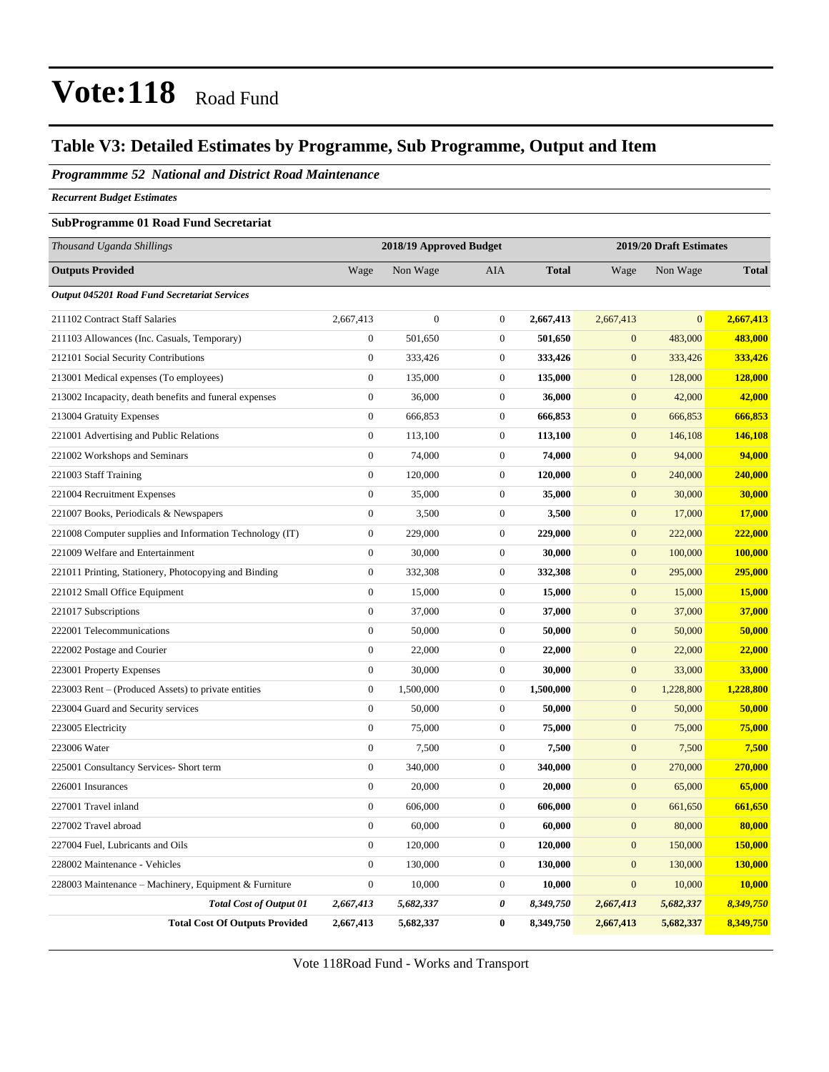### **Table V3: Detailed Estimates by Programme, Sub Programme, Output and Item**

*Programmme 52 National and District Road Maintenance*

*Recurrent Budget Estimates*

#### **SubProgramme 01 Road Fund Secretariat**

| Thousand Uganda Shillings                                | 2018/19 Approved Budget |                |                       | 2019/20 Draft Estimates |                  |                |              |
|----------------------------------------------------------|-------------------------|----------------|-----------------------|-------------------------|------------------|----------------|--------------|
| <b>Outputs Provided</b>                                  | Wage                    | Non Wage       | AIA                   | <b>Total</b>            | Wage             | Non Wage       | <b>Total</b> |
| Output 045201 Road Fund Secretariat Services             |                         |                |                       |                         |                  |                |              |
| 211102 Contract Staff Salaries                           | 2,667,413               | $\overline{0}$ | $\boldsymbol{0}$      | 2,667,413               | 2,667,413        | $\overline{0}$ | 2,667,413    |
| 211103 Allowances (Inc. Casuals, Temporary)              | $\boldsymbol{0}$        | 501,650        | $\boldsymbol{0}$      | 501,650                 | $\mathbf{0}$     | 483,000        | 483,000      |
| 212101 Social Security Contributions                     | $\boldsymbol{0}$        | 333,426        | $\boldsymbol{0}$      | 333,426                 | $\mathbf{0}$     | 333,426        | 333,426      |
| 213001 Medical expenses (To employees)                   | $\overline{0}$          | 135,000        | $\theta$              | 135,000                 | $\overline{0}$   | 128,000        | 128,000      |
| 213002 Incapacity, death benefits and funeral expenses   | $\boldsymbol{0}$        | 36,000         | $\boldsymbol{0}$      | 36,000                  | $\mathbf{0}$     | 42,000         | 42,000       |
| 213004 Gratuity Expenses                                 | $\boldsymbol{0}$        | 666,853        | $\boldsymbol{0}$      | 666,853                 | $\mathbf{0}$     | 666,853        | 666,853      |
| 221001 Advertising and Public Relations                  | $\boldsymbol{0}$        | 113,100        | $\boldsymbol{0}$      | 113,100                 | $\mathbf{0}$     | 146,108        | 146,108      |
| 221002 Workshops and Seminars                            | $\boldsymbol{0}$        | 74,000         | $\boldsymbol{0}$      | 74,000                  | $\boldsymbol{0}$ | 94,000         | 94,000       |
| 221003 Staff Training                                    | $\boldsymbol{0}$        | 120,000        | $\boldsymbol{0}$      | 120,000                 | $\mathbf{0}$     | 240,000        | 240,000      |
| 221004 Recruitment Expenses                              | $\boldsymbol{0}$        | 35,000         | $\boldsymbol{0}$      | 35,000                  | $\mathbf{0}$     | 30,000         | 30,000       |
| 221007 Books, Periodicals & Newspapers                   | $\boldsymbol{0}$        | 3,500          | $\theta$              | 3,500                   | $\mathbf{0}$     | 17,000         | 17,000       |
| 221008 Computer supplies and Information Technology (IT) | $\boldsymbol{0}$        | 229,000        | $\boldsymbol{0}$      | 229,000                 | $\boldsymbol{0}$ | 222,000        | 222,000      |
| 221009 Welfare and Entertainment                         | $\boldsymbol{0}$        | 30,000         | $\boldsymbol{0}$      | 30,000                  | $\boldsymbol{0}$ | 100,000        | 100,000      |
| 221011 Printing, Stationery, Photocopying and Binding    | $\boldsymbol{0}$        | 332,308        | $\theta$              | 332,308                 | $\mathbf{0}$     | 295,000        | 295,000      |
| 221012 Small Office Equipment                            | $\boldsymbol{0}$        | 15,000         | $\boldsymbol{0}$      | 15,000                  | $\boldsymbol{0}$ | 15,000         | 15,000       |
| 221017 Subscriptions                                     | $\boldsymbol{0}$        | 37,000         | $\boldsymbol{0}$      | 37,000                  | $\mathbf{0}$     | 37,000         | 37,000       |
| 222001 Telecommunications                                | $\boldsymbol{0}$        | 50,000         | $\boldsymbol{0}$      | 50,000                  | $\mathbf{0}$     | 50,000         | 50,000       |
| 222002 Postage and Courier                               | $\overline{0}$          | 22,000         | $\theta$              | 22,000                  | $\overline{0}$   | 22,000         | 22,000       |
| 223001 Property Expenses                                 | $\boldsymbol{0}$        | 30,000         | $\boldsymbol{0}$      | 30,000                  | $\mathbf{0}$     | 33,000         | 33,000       |
| 223003 Rent – (Produced Assets) to private entities      | $\boldsymbol{0}$        | 1,500,000      | $\boldsymbol{0}$      | 1,500,000               | $\mathbf{0}$     | 1,228,800      | 1,228,800    |
| 223004 Guard and Security services                       | $\boldsymbol{0}$        | 50,000         | $\boldsymbol{0}$      | 50,000                  | $\mathbf{0}$     | 50,000         | 50,000       |
| 223005 Electricity                                       | $\boldsymbol{0}$        | 75,000         | $\boldsymbol{0}$      | 75,000                  | $\mathbf{0}$     | 75,000         | 75,000       |
| 223006 Water                                             | $\boldsymbol{0}$        | 7,500          | $\boldsymbol{0}$      | 7,500                   | $\mathbf{0}$     | 7,500          | 7,500        |
| 225001 Consultancy Services- Short term                  | $\overline{0}$          | 340,000        | $\theta$              | 340,000                 | $\mathbf{0}$     | 270,000        | 270,000      |
| 226001 Insurances                                        | $\boldsymbol{0}$        | 20,000         | $\boldsymbol{0}$      | 20,000                  | $\mathbf{0}$     | 65,000         | 65,000       |
| 227001 Travel inland                                     | $\boldsymbol{0}$        | 606,000        | $\boldsymbol{0}$      | 606,000                 | $\mathbf{0}$     | 661,650        | 661,650      |
| 227002 Travel abroad                                     | $\boldsymbol{0}$        | 60,000         | $\boldsymbol{0}$      | 60,000                  | $\mathbf{0}$     | 80,000         | 80,000       |
| 227004 Fuel, Lubricants and Oils                         | $\overline{0}$          | 120,000        | $\boldsymbol{0}$      | 120,000                 | $\boldsymbol{0}$ | 150,000        | 150,000      |
| 228002 Maintenance - Vehicles                            | $\boldsymbol{0}$        | 130,000        | $\boldsymbol{0}$      | 130,000                 | $\mathbf{0}$     | 130,000        | 130,000      |
| 228003 Maintenance - Machinery, Equipment & Furniture    | $\boldsymbol{0}$        | 10,000         | $\boldsymbol{0}$      | 10,000                  | $\mathbf{0}$     | 10,000         | 10,000       |
| <b>Total Cost of Output 01</b>                           | 2,667,413               | 5,682,337      | $\boldsymbol{\theta}$ | 8,349,750               | 2,667,413        | 5,682,337      | 8,349,750    |
| <b>Total Cost Of Outputs Provided</b>                    | 2,667,413               | 5,682,337      | $\bf{0}$              | 8,349,750               | 2,667,413        | 5,682,337      | 8,349,750    |

Vote 118Road Fund - Works and Transport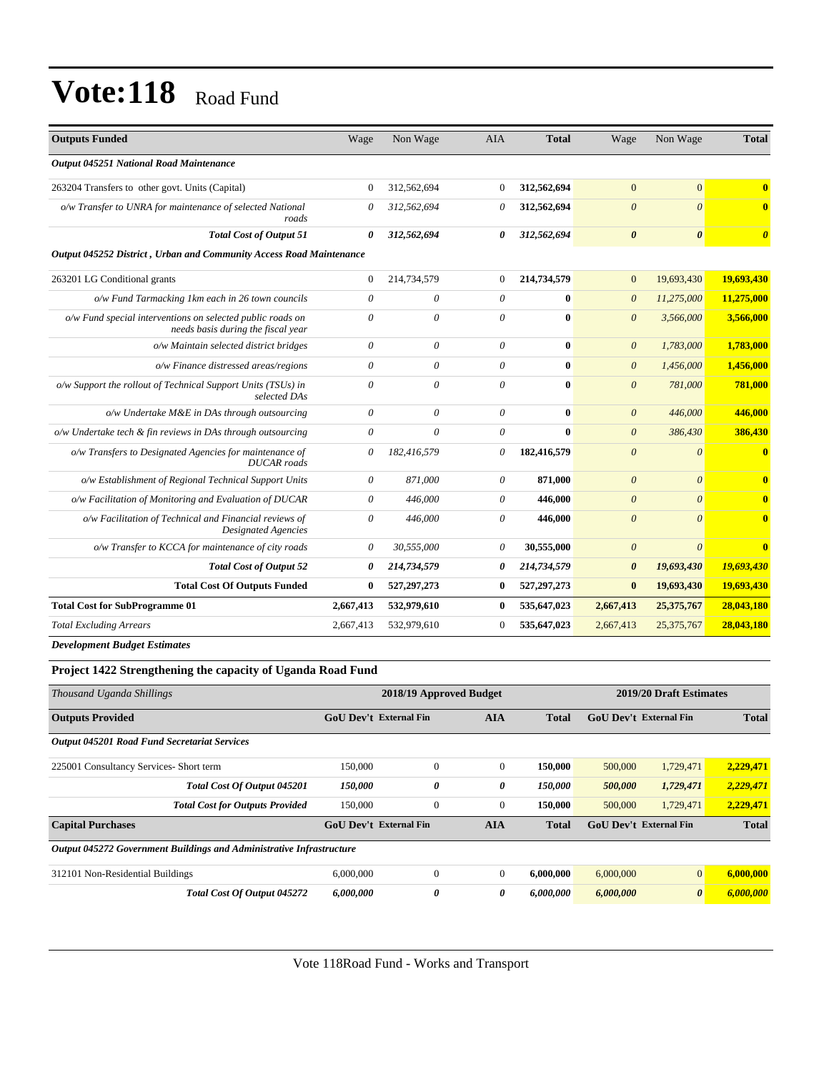| <b>Outputs Funded</b>                                                                            | Wage                  | Non Wage    | <b>AIA</b>     | <b>Total</b> | Wage                  | Non Wage              | <b>Total</b>                     |
|--------------------------------------------------------------------------------------------------|-----------------------|-------------|----------------|--------------|-----------------------|-----------------------|----------------------------------|
| Output 045251 National Road Maintenance                                                          |                       |             |                |              |                       |                       |                                  |
| 263204 Transfers to other govt. Units (Capital)                                                  | $\overline{0}$        | 312,562,694 | $\Omega$       | 312,562,694  | $\mathbf{0}$          | $\overline{0}$        | $\mathbf{0}$                     |
| o/w Transfer to UNRA for maintenance of selected National<br>roads                               | 0                     | 312,562,694 | 0              | 312,562,694  | $\boldsymbol{\theta}$ | $\boldsymbol{\theta}$ | $\bf{0}$                         |
| <b>Total Cost of Output 51</b>                                                                   | 0                     | 312,562,694 | 0              | 312,562,694  | $\boldsymbol{\theta}$ | $\boldsymbol{\theta}$ | $\overline{\boldsymbol{\theta}}$ |
| Output 045252 District, Urban and Community Access Road Maintenance                              |                       |             |                |              |                       |                       |                                  |
| 263201 LG Conditional grants                                                                     | $\mathbf{0}$          | 214,734,579 | $\overline{0}$ | 214,734,579  | $\mathbf{0}$          | 19,693,430            | 19,693,430                       |
| o/w Fund Tarmacking 1km each in 26 town councils                                                 | 0                     | 0           | 0              | $\mathbf{0}$ | $\boldsymbol{\theta}$ | 11,275,000            | 11,275,000                       |
| o/w Fund special interventions on selected public roads on<br>needs basis during the fiscal year | $\theta$              | 0           | $\theta$       | $\mathbf{0}$ | $\theta$              | 3,566,000             | 3,566,000                        |
| o/w Maintain selected district bridges                                                           | 0                     | 0           | $\theta$       | $\bf{0}$     | $\boldsymbol{0}$      | 1,783,000             | 1,783,000                        |
| o/w Finance distressed areas/regions                                                             | $\boldsymbol{\theta}$ | $\theta$    | $\theta$       | $\bf{0}$     | $\boldsymbol{0}$      | 1,456,000             | 1,456,000                        |
| o/w Support the rollout of Technical Support Units (TSUs) in<br>selected DAs                     | $\theta$              | $\theta$    | $\theta$       | $\bf{0}$     | $\boldsymbol{\theta}$ | 781,000               | 781,000                          |
| o/w Undertake M&E in DAs through outsourcing                                                     | $\theta$              | $\theta$    | $\theta$       | $\bf{0}$     | $\theta$              | 446,000               | 446,000                          |
| o/w Undertake tech & fin reviews in DAs through outsourcing                                      | $\theta$              | $\theta$    | $\theta$       | $\mathbf{0}$ | $\theta$              | 386,430               | 386,430                          |
| o/w Transfers to Designated Agencies for maintenance of<br><b>DUCAR</b> roads                    | 0                     | 182,416,579 | $\theta$       | 182,416,579  | $\theta$              | $\theta$              | $\bf{0}$                         |
| o/w Establishment of Regional Technical Support Units                                            | $\theta$              | 871,000     | $\theta$       | 871,000      | $\theta$              | $\theta$              | $\overline{\mathbf{0}}$          |
| o/w Facilitation of Monitoring and Evaluation of DUCAR                                           | 0                     | 446,000     | $\theta$       | 446,000      | $\theta$              | $\theta$              | $\overline{\mathbf{0}}$          |
| o/w Facilitation of Technical and Financial reviews of<br><b>Designated Agencies</b>             | $\theta$              | 446,000     | $\theta$       | 446,000      | $\theta$              | $\theta$              | $\bf{0}$                         |
| o/w Transfer to KCCA for maintenance of city roads                                               | 0                     | 30,555,000  | $\theta$       | 30,555,000   | $\theta$              | $\boldsymbol{\theta}$ | $\bf{0}$                         |
| <b>Total Cost of Output 52</b>                                                                   | 0                     | 214,734,579 | 0              | 214,734,579  | $\boldsymbol{\theta}$ | 19,693,430            | 19,693,430                       |
| <b>Total Cost Of Outputs Funded</b>                                                              | $\bf{0}$              | 527,297,273 | $\bf{0}$       | 527,297,273  | $\bf{0}$              | 19,693,430            | 19,693,430                       |
| <b>Total Cost for SubProgramme 01</b>                                                            | 2,667,413             | 532,979,610 | $\bf{0}$       | 535,647,023  | 2,667,413             | 25,375,767            | 28,043,180                       |
| <b>Total Excluding Arrears</b>                                                                   | 2,667,413             | 532,979,610 | $\overline{0}$ | 535,647,023  | 2,667,413             | 25,375,767            | 28,043,180                       |

*Development Budget Estimates*

#### **Project 1422 Strengthening the capacity of Uganda Road Fund**

| Thousand Uganda Shillings                                            | 2018/19 Approved Budget       | 2019/20 Draft Estimates |                |              |                               |                       |              |
|----------------------------------------------------------------------|-------------------------------|-------------------------|----------------|--------------|-------------------------------|-----------------------|--------------|
| <b>Outputs Provided</b>                                              | <b>GoU Dev't External Fin</b> |                         | <b>AIA</b>     | <b>Total</b> | GoU Dev't External Fin        |                       | <b>Total</b> |
| <b>Output 045201 Road Fund Secretariat Services</b>                  |                               |                         |                |              |                               |                       |              |
| 225001 Consultancy Services- Short term                              | 150,000                       | $\Omega$                | $\overline{0}$ | 150,000      | 500,000                       | 1,729,471             | 2,229,471    |
| Total Cost Of Output 045201                                          | 150,000                       | 0                       | 0              | 150,000      | 500,000                       | 1,729,471             | 2,229,471    |
| <b>Total Cost for Outputs Provided</b>                               | 150,000                       | $\theta$                | $\mathbf{0}$   | 150,000      | 500,000                       | 1,729,471             | 2,229,471    |
| <b>Capital Purchases</b>                                             | <b>GoU Dev't External Fin</b> |                         | <b>AIA</b>     | <b>Total</b> | <b>GoU Dev't External Fin</b> |                       | <b>Total</b> |
| Output 045272 Government Buildings and Administrative Infrastructure |                               |                         |                |              |                               |                       |              |
| 312101 Non-Residential Buildings                                     | 6,000,000                     | $\mathbf{0}$            | $\mathbf{0}$   | 6,000,000    | 6,000,000                     | $\overline{0}$        | 6,000,000    |
| Total Cost Of Output 045272                                          | 6,000,000                     | 0                       | 0              | 6,000,000    | 6,000,000                     | $\boldsymbol{\theta}$ | 6.000.000    |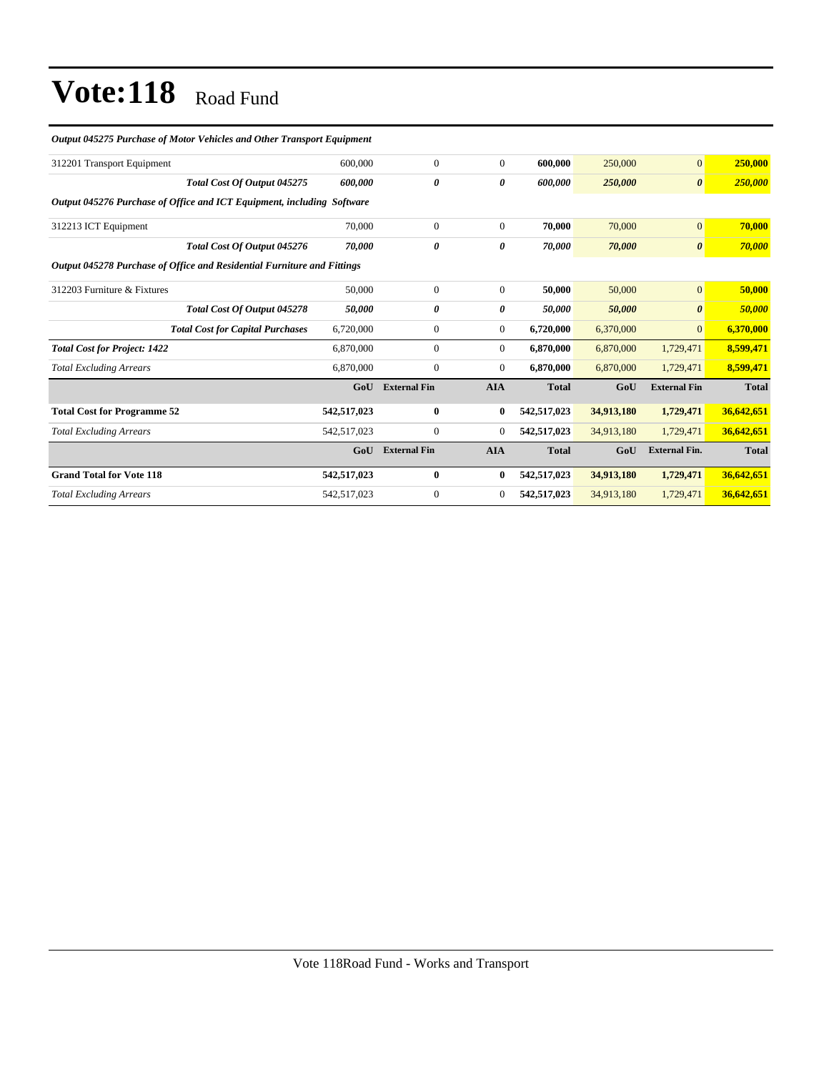| Output 045275 Purchase of Motor Vehicles and Other Transport Equipment  |             |                     |                |              |            |                       |              |
|-------------------------------------------------------------------------|-------------|---------------------|----------------|--------------|------------|-----------------------|--------------|
| 312201 Transport Equipment                                              | 600,000     | $\mathbf{0}$        | $\overline{0}$ | 600,000      | 250,000    | $\mathbf{0}$          | 250,000      |
| Total Cost Of Output 045275                                             | 600.000     | 0                   | 0              | 600.000      | 250,000    | $\boldsymbol{\theta}$ | 250,000      |
| Output 045276 Purchase of Office and ICT Equipment, including Software  |             |                     |                |              |            |                       |              |
| 312213 ICT Equipment                                                    | 70,000      | $\mathbf{0}$        | $\overline{0}$ | 70.000       | 70,000     | $\mathbf{0}$          | 70,000       |
| Total Cost Of Output 045276                                             | 70.000      | 0                   | 0              | 70,000       | 70,000     | $\boldsymbol{\theta}$ | 70,000       |
| Output 045278 Purchase of Office and Residential Furniture and Fittings |             |                     |                |              |            |                       |              |
| 312203 Furniture & Fixtures                                             | 50,000      | $\mathbf{0}$        | $\overline{0}$ | 50,000       | 50,000     | $\mathbf{0}$          | 50,000       |
| Total Cost Of Output 045278                                             | 50.000      | 0                   | 0              | 50,000       | 50,000     | $\boldsymbol{\theta}$ | 50,000       |
| <b>Total Cost for Capital Purchases</b>                                 | 6,720,000   | $\mathbf{0}$        | $\overline{0}$ | 6,720,000    | 6,370,000  | $\overline{0}$        | 6,370,000    |
| <b>Total Cost for Project: 1422</b>                                     | 6,870,000   | $\mathbf{0}$        | $\overline{0}$ | 6,870,000    | 6,870,000  | 1,729,471             | 8,599,471    |
| <b>Total Excluding Arrears</b>                                          | 6,870,000   | $\bf{0}$            | $\overline{0}$ | 6,870,000    | 6,870,000  | 1,729,471             | 8,599,471    |
|                                                                         | GoU         | <b>External Fin</b> | <b>AIA</b>     | <b>Total</b> | GoU        | <b>External Fin</b>   | <b>Total</b> |
| <b>Total Cost for Programme 52</b>                                      | 542,517,023 | $\mathbf{0}$        | $\bf{0}$       | 542,517,023  | 34,913,180 | 1,729,471             | 36,642,651   |
| <b>Total Excluding Arrears</b>                                          | 542,517,023 | $\mathbf{0}$        | $\mathbf{0}$   | 542,517,023  | 34,913,180 | 1,729,471             | 36,642,651   |
|                                                                         | GoU         | <b>External Fin</b> | <b>AIA</b>     | <b>Total</b> | GoU        | <b>External Fin.</b>  | <b>Total</b> |
| <b>Grand Total for Vote 118</b>                                         | 542,517,023 | $\bf{0}$            | $\bf{0}$       | 542,517,023  | 34,913,180 | 1,729,471             | 36,642,651   |
| <b>Total Excluding Arrears</b>                                          | 542,517,023 | $\mathbf{0}$        | $\overline{0}$ | 542,517,023  | 34,913,180 | 1,729,471             | 36,642,651   |